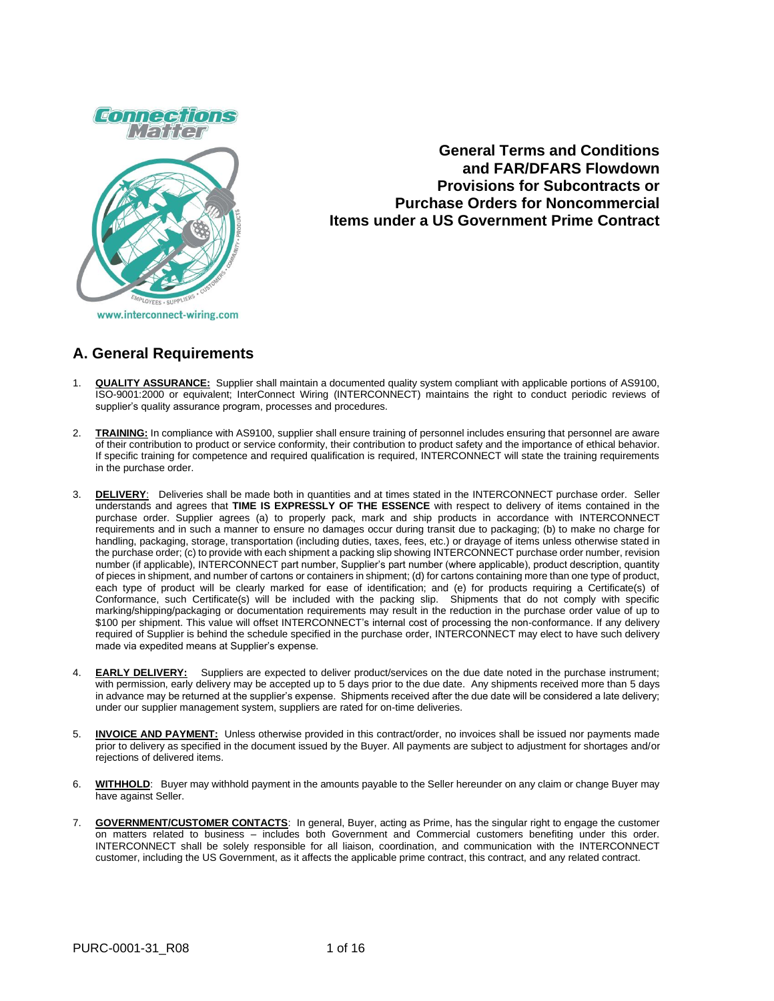

**General Terms and Conditions and FAR/DFARS Flowdown Provisions for Subcontracts or Purchase Orders for Noncommercial Items under a US Government Prime Contract**

# **A. General Requirements**

- 1. **QUALITY ASSURANCE:** Supplier shall maintain a documented quality system compliant with applicable portions of AS9100, ISO-9001:2000 or equivalent; InterConnect Wiring (INTERCONNECT) maintains the right to conduct periodic reviews of supplier's quality assurance program, processes and procedures.
- 2. **TRAINING:** In compliance with AS9100, supplier shall ensure training of personnel includes ensuring that personnel are aware of their contribution to product or service conformity, their contribution to product safety and the importance of ethical behavior. If specific training for competence and required qualification is required, INTERCONNECT will state the training requirements in the purchase order.
- 3. **DELIVERY**: Deliveries shall be made both in quantities and at times stated in the INTERCONNECT purchase order. Seller understands and agrees that **TIME IS EXPRESSLY OF THE ESSENCE** with respect to delivery of items contained in the purchase order. Supplier agrees (a) to properly pack, mark and ship products in accordance with INTERCONNECT requirements and in such a manner to ensure no damages occur during transit due to packaging; (b) to make no charge for handling, packaging, storage, transportation (including duties, taxes, fees, etc.) or drayage of items unless otherwise stated in the purchase order; (c) to provide with each shipment a packing slip showing INTERCONNECT purchase order number, revision number (if applicable), INTERCONNECT part number, Supplier's part number (where applicable), product description, quantity of pieces in shipment, and number of cartons or containers in shipment; (d) for cartons containing more than one type of product, each type of product will be clearly marked for ease of identification; and (e) for products requiring a Certificate(s) of Conformance, such Certificate(s) will be included with the packing slip. Shipments that do not comply with specific marking/shipping/packaging or documentation requirements may result in the reduction in the purchase order value of up to \$100 per shipment. This value will offset INTERCONNECT's internal cost of processing the non-conformance. If any delivery required of Supplier is behind the schedule specified in the purchase order, INTERCONNECT may elect to have such delivery made via expedited means at Supplier's expense.
- 4. **EARLY DELIVERY:** Suppliers are expected to deliver product/services on the due date noted in the purchase instrument; with permission, early delivery may be accepted up to 5 days prior to the due date. Any shipments received more than 5 days in advance may be returned at the supplier's expense. Shipments received after the due date will be considered a late delivery; under our supplier management system, suppliers are rated for on-time deliveries.
- 5. **INVOICE AND PAYMENT:** Unless otherwise provided in this contract/order, no invoices shall be issued nor payments made prior to delivery as specified in the document issued by the Buyer. All payments are subject to adjustment for shortages and/or rejections of delivered items.
- 6. **WITHHOLD**: Buyer may withhold payment in the amounts payable to the Seller hereunder on any claim or change Buyer may have against Seller.
- 7. **GOVERNMENT/CUSTOMER CONTACTS**: In general, Buyer, acting as Prime, has the singular right to engage the customer on matters related to business – includes both Government and Commercial customers benefiting under this order. INTERCONNECT shall be solely responsible for all liaison, coordination, and communication with the INTERCONNECT customer, including the US Government, as it affects the applicable prime contract, this contract, and any related contract.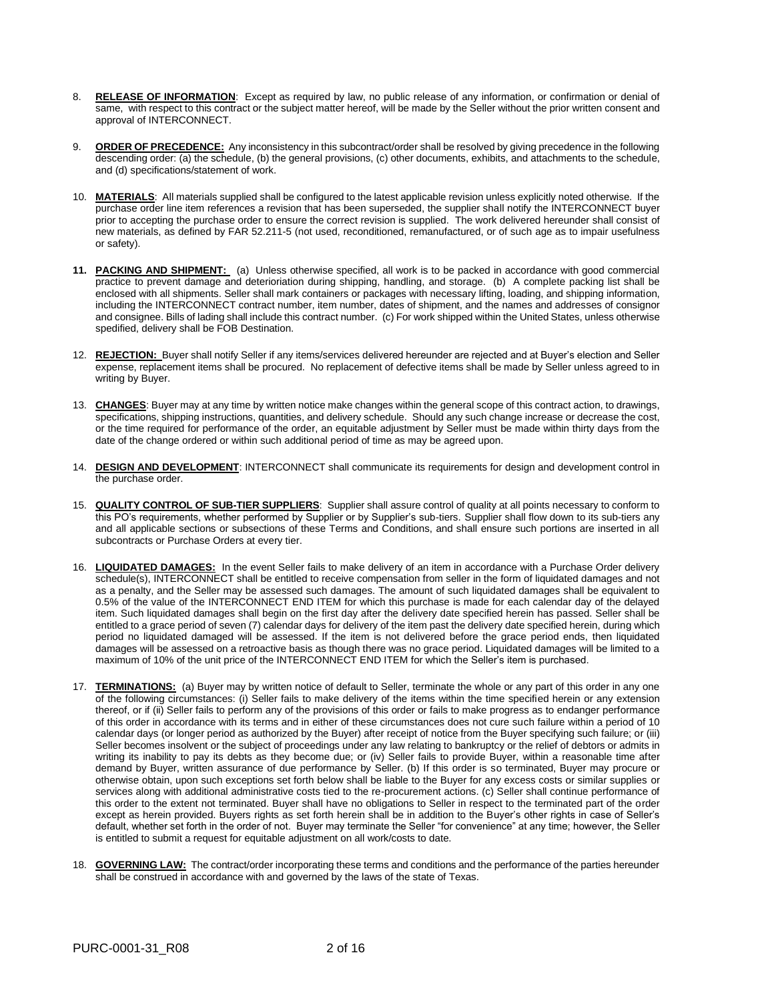- 8. **RELEASE OF INFORMATION**: Except as required by law, no public release of any information, or confirmation or denial of same, with respect to this contract or the subject matter hereof, will be made by the Seller without the prior written consent and approval of INTERCONNECT.
- 9. **ORDER OF PRECEDENCE:** Any inconsistency in this subcontract/order shall be resolved by giving precedence in the following descending order: (a) the schedule, (b) the general provisions, (c) other documents, exhibits, and attachments to the schedule, and (d) specifications/statement of work.
- 10. **MATERIALS**: All materials supplied shall be configured to the latest applicable revision unless explicitly noted otherwise. If the purchase order line item references a revision that has been superseded, the supplier shall notify the INTERCONNECT buyer prior to accepting the purchase order to ensure the correct revision is supplied. The work delivered hereunder shall consist of new materials, as defined by FAR 52.211-5 (not used, reconditioned, remanufactured, or of such age as to impair usefulness or safety).
- **11. PACKING AND SHIPMENT:** (a) Unless otherwise specified, all work is to be packed in accordance with good commercial practice to prevent damage and deterioriation during shipping, handling, and storage. (b) A complete packing list shall be enclosed with all shipments. Seller shall mark containers or packages with necessary lifting, loading, and shipping information, including the INTERCONNECT contract number, item number, dates of shipment, and the names and addresses of consignor and consignee. Bills of lading shall include this contract number. (c) For work shipped within the United States, unless otherwise spedified, delivery shall be FOB Destination.
- 12. **REJECTION:** Buyer shall notify Seller if any items/services delivered hereunder are rejected and at Buyer's election and Seller expense, replacement items shall be procured. No replacement of defective items shall be made by Seller unless agreed to in writing by Buyer.
- 13. **CHANGES**: Buyer may at any time by written notice make changes within the general scope of this contract action, to drawings, specifications, shipping instructions, quantities, and delivery schedule. Should any such change increase or decrease the cost, or the time required for performance of the order, an equitable adjustment by Seller must be made within thirty days from the date of the change ordered or within such additional period of time as may be agreed upon.
- 14. **DESIGN AND DEVELOPMENT**: INTERCONNECT shall communicate its requirements for design and development control in the purchase order.
- 15. **QUALITY CONTROL OF SUB-TIER SUPPLIERS**: Supplier shall assure control of quality at all points necessary to conform to this PO's requirements, whether performed by Supplier or by Supplier's sub-tiers. Supplier shall flow down to its sub-tiers any and all applicable sections or subsections of these Terms and Conditions, and shall ensure such portions are inserted in all subcontracts or Purchase Orders at every tier.
- 16. **LIQUIDATED DAMAGES:** In the event Seller fails to make delivery of an item in accordance with a Purchase Order delivery schedule(s), INTERCONNECT shall be entitled to receive compensation from seller in the form of liquidated damages and not as a penalty, and the Seller may be assessed such damages. The amount of such liquidated damages shall be equivalent to 0.5% of the value of the INTERCONNECT END ITEM for which this purchase is made for each calendar day of the delayed item. Such liquidated damages shall begin on the first day after the delivery date specified herein has passed. Seller shall be entitled to a grace period of seven (7) calendar days for delivery of the item past the delivery date specified herein, during which period no liquidated damaged will be assessed. If the item is not delivered before the grace period ends, then liquidated damages will be assessed on a retroactive basis as though there was no grace period. Liquidated damages will be limited to a maximum of 10% of the unit price of the INTERCONNECT END ITEM for which the Seller's item is purchased.
- 17. **TERMINATIONS:** (a) Buyer may by written notice of default to Seller, terminate the whole or any part of this order in any one of the following circumstances: (i) Seller fails to make delivery of the items within the time specified herein or any extension thereof, or if (ii) Seller fails to perform any of the provisions of this order or fails to make progress as to endanger performance of this order in accordance with its terms and in either of these circumstances does not cure such failure within a period of 10 calendar days (or longer period as authorized by the Buyer) after receipt of notice from the Buyer specifying such failure; or (iii) Seller becomes insolvent or the subject of proceedings under any law relating to bankruptcy or the relief of debtors or admits in writing its inability to pay its debts as they become due; or (iv) Seller fails to provide Buyer, within a reasonable time after demand by Buyer, written assurance of due performance by Seller. (b) If this order is so terminated, Buyer may procure or otherwise obtain, upon such exceptions set forth below shall be liable to the Buyer for any excess costs or similar supplies or services along with additional administrative costs tied to the re-procurement actions. (c) Seller shall continue performance of this order to the extent not terminated. Buyer shall have no obligations to Seller in respect to the terminated part of the order except as herein provided. Buyers rights as set forth herein shall be in addition to the Buyer's other rights in case of Seller's default, whether set forth in the order of not. Buyer may terminate the Seller "for convenience" at any time; however, the Seller is entitled to submit a request for equitable adjustment on all work/costs to date.
- 18. **GOVERNING LAW:** The contract/order incorporating these terms and conditions and the performance of the parties hereunder shall be construed in accordance with and governed by the laws of the state of Texas.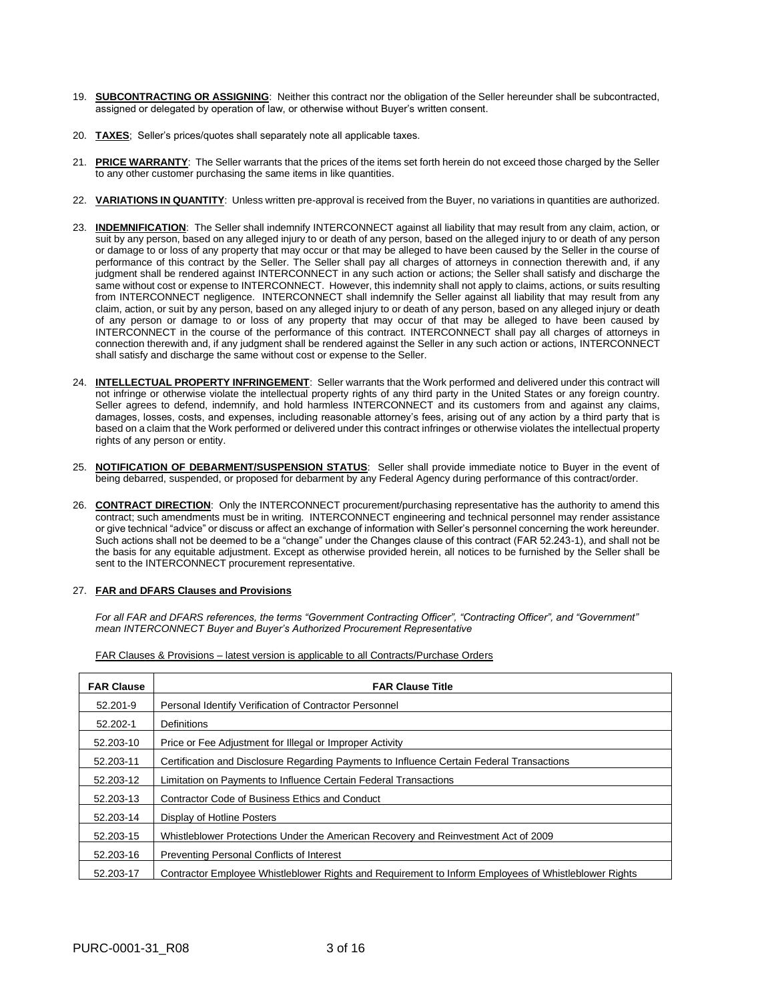- 19. **SUBCONTRACTING OR ASSIGNING**: Neither this contract nor the obligation of the Seller hereunder shall be subcontracted, assigned or delegated by operation of law, or otherwise without Buyer's written consent.
- 20. **TAXES**; Seller's prices/quotes shall separately note all applicable taxes.
- 21. **PRICE WARRANTY**: The Seller warrants that the prices of the items set forth herein do not exceed those charged by the Seller to any other customer purchasing the same items in like quantities.
- 22. **VARIATIONS IN QUANTITY**: Unless written pre-approval is received from the Buyer, no variations in quantities are authorized.
- 23. **INDEMNIFICATION**: The Seller shall indemnify INTERCONNECT against all liability that may result from any claim, action, or suit by any person, based on any alleged injury to or death of any person, based on the alleged injury to or death of any person or damage to or loss of any property that may occur or that may be alleged to have been caused by the Seller in the course of performance of this contract by the Seller. The Seller shall pay all charges of attorneys in connection therewith and, if any judgment shall be rendered against INTERCONNECT in any such action or actions; the Seller shall satisfy and discharge the same without cost or expense to INTERCONNECT. However, this indemnity shall not apply to claims, actions, or suits resulting from INTERCONNECT negligence. INTERCONNECT shall indemnify the Seller against all liability that may result from any claim, action, or suit by any person, based on any alleged injury to or death of any person, based on any alleged injury or death of any person or damage to or loss of any property that may occur of that may be alleged to have been caused by INTERCONNECT in the course of the performance of this contract. INTERCONNECT shall pay all charges of attorneys in connection therewith and, if any judgment shall be rendered against the Seller in any such action or actions, INTERCONNECT shall satisfy and discharge the same without cost or expense to the Seller.
- 24. **INTELLECTUAL PROPERTY INFRINGEMENT**: Seller warrants that the Work performed and delivered under this contract will not infringe or otherwise violate the intellectual property rights of any third party in the United States or any foreign country. Seller agrees to defend, indemnify, and hold harmless INTERCONNECT and its customers from and against any claims, damages, losses, costs, and expenses, including reasonable attorney's fees, arising out of any action by a third party that is based on a claim that the Work performed or delivered under this contract infringes or otherwise violates the intellectual property rights of any person or entity.
- 25. **NOTIFICATION OF DEBARMENT/SUSPENSION STATUS**: Seller shall provide immediate notice to Buyer in the event of being debarred, suspended, or proposed for debarment by any Federal Agency during performance of this contract/order.
- 26. **CONTRACT DIRECTION**: Only the INTERCONNECT procurement/purchasing representative has the authority to amend this contract; such amendments must be in writing. INTERCONNECT engineering and technical personnel may render assistance or give technical "advice" or discuss or affect an exchange of information with Seller's personnel concerning the work hereunder. Such actions shall not be deemed to be a "change" under the Changes clause of this contract (FAR 52.243-1), and shall not be the basis for any equitable adjustment. Except as otherwise provided herein, all notices to be furnished by the Seller shall be sent to the INTERCONNECT procurement representative.

### 27. **FAR and DFARS Clauses and Provisions**

*For all FAR and DFARS references, the terms "Government Contracting Officer", "Contracting Officer", and "Government" mean INTERCONNECT Buyer and Buyer's Authorized Procurement Representative*

| <b>FAR Clause</b> | <b>FAR Clause Title</b>                                                                              |
|-------------------|------------------------------------------------------------------------------------------------------|
| 52.201-9          | Personal Identify Verification of Contractor Personnel                                               |
| 52.202-1          | Definitions                                                                                          |
| 52.203-10         | Price or Fee Adjustment for Illegal or Improper Activity                                             |
| 52.203-11         | Certification and Disclosure Regarding Payments to Influence Certain Federal Transactions            |
| 52.203-12         | Limitation on Payments to Influence Certain Federal Transactions                                     |
| 52.203-13         | Contractor Code of Business Ethics and Conduct                                                       |
| 52.203-14         | Display of Hotline Posters                                                                           |
| 52.203-15         | Whistleblower Protections Under the American Recovery and Reinvestment Act of 2009                   |
| 52.203-16         | Preventing Personal Conflicts of Interest                                                            |
| 52.203-17         | Contractor Employee Whistleblower Rights and Requirement to Inform Employees of Whistleblower Rights |

FAR Clauses & Provisions – latest version is applicable to all Contracts/Purchase Orders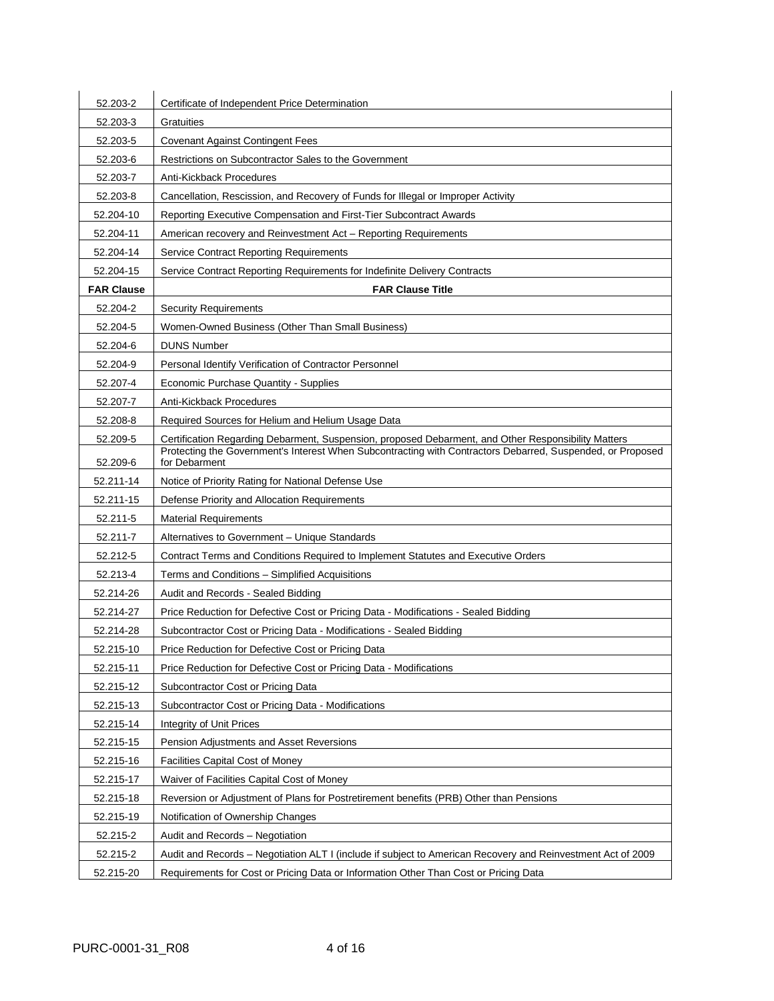| 52.203-2          | Certificate of Independent Price Determination                                                                                                                                                                    |
|-------------------|-------------------------------------------------------------------------------------------------------------------------------------------------------------------------------------------------------------------|
| 52.203-3          | Gratuities                                                                                                                                                                                                        |
| 52.203-5          | Covenant Against Contingent Fees                                                                                                                                                                                  |
| 52.203-6          | Restrictions on Subcontractor Sales to the Government                                                                                                                                                             |
| 52.203-7          | Anti-Kickback Procedures                                                                                                                                                                                          |
| 52.203-8          | Cancellation, Rescission, and Recovery of Funds for Illegal or Improper Activity                                                                                                                                  |
| 52.204-10         | Reporting Executive Compensation and First-Tier Subcontract Awards                                                                                                                                                |
| 52.204-11         | American recovery and Reinvestment Act - Reporting Requirements                                                                                                                                                   |
| 52.204-14         | <b>Service Contract Reporting Requirements</b>                                                                                                                                                                    |
| 52.204-15         | Service Contract Reporting Requirements for Indefinite Delivery Contracts                                                                                                                                         |
| <b>FAR Clause</b> | <b>FAR Clause Title</b>                                                                                                                                                                                           |
| 52.204-2          | <b>Security Requirements</b>                                                                                                                                                                                      |
| 52.204-5          | Women-Owned Business (Other Than Small Business)                                                                                                                                                                  |
| 52.204-6          | <b>DUNS Number</b>                                                                                                                                                                                                |
| 52.204-9          | Personal Identify Verification of Contractor Personnel                                                                                                                                                            |
| 52.207-4          | Economic Purchase Quantity - Supplies                                                                                                                                                                             |
| 52.207-7          | Anti-Kickback Procedures                                                                                                                                                                                          |
| 52.208-8          | Required Sources for Helium and Helium Usage Data                                                                                                                                                                 |
| 52.209-5          | Certification Regarding Debarment, Suspension, proposed Debarment, and Other Responsibility Matters<br>Protecting the Government's Interest When Subcontracting with Contractors Debarred, Suspended, or Proposed |
| 52.209-6          | for Debarment                                                                                                                                                                                                     |
| 52.211-14         | Notice of Priority Rating for National Defense Use                                                                                                                                                                |
| 52.211-15         | Defense Priority and Allocation Requirements                                                                                                                                                                      |
| 52.211-5          | <b>Material Requirements</b>                                                                                                                                                                                      |
| 52.211-7          | Alternatives to Government - Unique Standards                                                                                                                                                                     |
| 52.212-5          | Contract Terms and Conditions Required to Implement Statutes and Executive Orders                                                                                                                                 |
| 52.213-4          | Terms and Conditions - Simplified Acquisitions                                                                                                                                                                    |
| 52.214-26         | Audit and Records - Sealed Bidding                                                                                                                                                                                |
| 52.214-27         | Price Reduction for Defective Cost or Pricing Data - Modifications - Sealed Bidding                                                                                                                               |
| 52.214-28         | Subcontractor Cost or Pricing Data - Modifications - Sealed Bidding                                                                                                                                               |
| 52.215-10         | Price Reduction for Defective Cost or Pricing Data                                                                                                                                                                |
| 52.215-11         | Price Reduction for Defective Cost or Pricing Data - Modifications                                                                                                                                                |
| 52.215-12         | Subcontractor Cost or Pricing Data                                                                                                                                                                                |
| 52.215-13         | Subcontractor Cost or Pricing Data - Modifications                                                                                                                                                                |
| 52.215-14         | Integrity of Unit Prices                                                                                                                                                                                          |
| 52.215-15         | Pension Adjustments and Asset Reversions                                                                                                                                                                          |
| 52.215-16         | <b>Facilities Capital Cost of Money</b>                                                                                                                                                                           |
| 52.215-17         | Waiver of Facilities Capital Cost of Money                                                                                                                                                                        |
| 52.215-18         | Reversion or Adjustment of Plans for Postretirement benefits (PRB) Other than Pensions                                                                                                                            |
| 52.215-19         | Notification of Ownership Changes                                                                                                                                                                                 |
| 52.215-2          | Audit and Records - Negotiation                                                                                                                                                                                   |
| 52.215-2          | Audit and Records – Negotiation ALT I (include if subject to American Recovery and Reinvestment Act of 2009                                                                                                       |
| 52.215-20         | Requirements for Cost or Pricing Data or Information Other Than Cost or Pricing Data                                                                                                                              |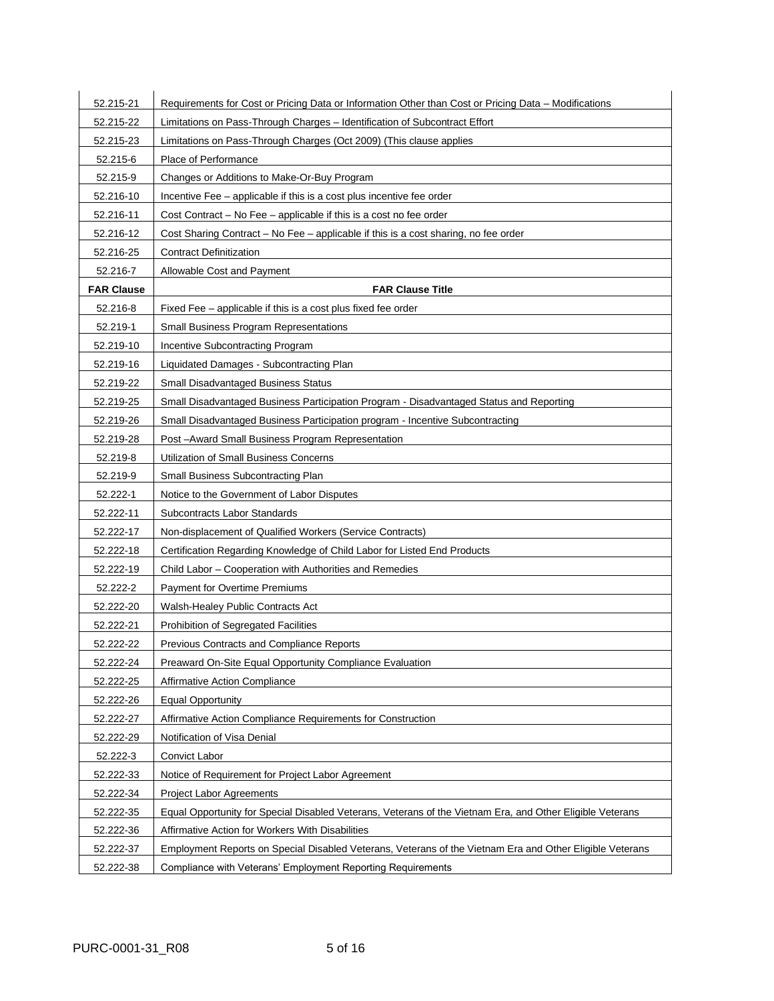| 52.215-21         | Requirements for Cost or Pricing Data or Information Other than Cost or Pricing Data - Modifications      |
|-------------------|-----------------------------------------------------------------------------------------------------------|
| 52.215-22         | Limitations on Pass-Through Charges - Identification of Subcontract Effort                                |
| 52.215-23         | Limitations on Pass-Through Charges (Oct 2009) (This clause applies                                       |
| 52.215-6          | <b>Place of Performance</b>                                                                               |
| 52.215-9          | Changes or Additions to Make-Or-Buy Program                                                               |
| 52.216-10         | Incentive Fee - applicable if this is a cost plus incentive fee order                                     |
| 52.216-11         | Cost Contract - No Fee - applicable if this is a cost no fee order                                        |
| 52.216-12         | Cost Sharing Contract - No Fee - applicable if this is a cost sharing, no fee order                       |
| 52.216-25         | <b>Contract Definitization</b>                                                                            |
| 52.216-7          | Allowable Cost and Payment                                                                                |
| <b>FAR Clause</b> | <b>FAR Clause Title</b>                                                                                   |
| 52.216-8          | Fixed Fee - applicable if this is a cost plus fixed fee order                                             |
| 52.219-1          | Small Business Program Representations                                                                    |
| 52.219-10         | Incentive Subcontracting Program                                                                          |
| 52.219-16         | Liquidated Damages - Subcontracting Plan                                                                  |
| 52.219-22         | <b>Small Disadvantaged Business Status</b>                                                                |
| 52.219-25         | Small Disadvantaged Business Participation Program - Disadvantaged Status and Reporting                   |
| 52.219-26         | Small Disadvantaged Business Participation program - Incentive Subcontracting                             |
| 52.219-28         | Post-Award Small Business Program Representation                                                          |
| 52.219-8          | Utilization of Small Business Concerns                                                                    |
| 52.219-9          | Small Business Subcontracting Plan                                                                        |
| 52.222-1          | Notice to the Government of Labor Disputes                                                                |
| 52.222-11         | Subcontracts Labor Standards                                                                              |
| 52.222-17         | Non-displacement of Qualified Workers (Service Contracts)                                                 |
| 52.222-18         | Certification Regarding Knowledge of Child Labor for Listed End Products                                  |
| 52.222-19         | Child Labor - Cooperation with Authorities and Remedies                                                   |
| 52.222-2          | <b>Payment for Overtime Premiums</b>                                                                      |
| 52.222-20         | Walsh-Healey Public Contracts Act                                                                         |
| 52.222-21         | Prohibition of Segregated Facilities                                                                      |
| 52.222-22         | Previous Contracts and Compliance Reports                                                                 |
| 52.222-24         | Preaward On-Site Equal Opportunity Compliance Evaluation                                                  |
| 52.222-25         | Affirmative Action Compliance                                                                             |
| 52.222-26         | <b>Equal Opportunity</b>                                                                                  |
| 52.222-27         | Affirmative Action Compliance Requirements for Construction                                               |
| 52.222-29         | Notification of Visa Denial                                                                               |
| 52.222-3          | Convict Labor                                                                                             |
| 52.222-33         | Notice of Requirement for Project Labor Agreement                                                         |
| 52.222-34         | <b>Project Labor Agreements</b>                                                                           |
| 52.222-35         | Equal Opportunity for Special Disabled Veterans, Veterans of the Vietnam Era, and Other Eligible Veterans |
| 52.222-36         | Affirmative Action for Workers With Disabilities                                                          |
| 52.222-37         | Employment Reports on Special Disabled Veterans, Veterans of the Vietnam Era and Other Eligible Veterans  |
| 52.222-38         | Compliance with Veterans' Employment Reporting Requirements                                               |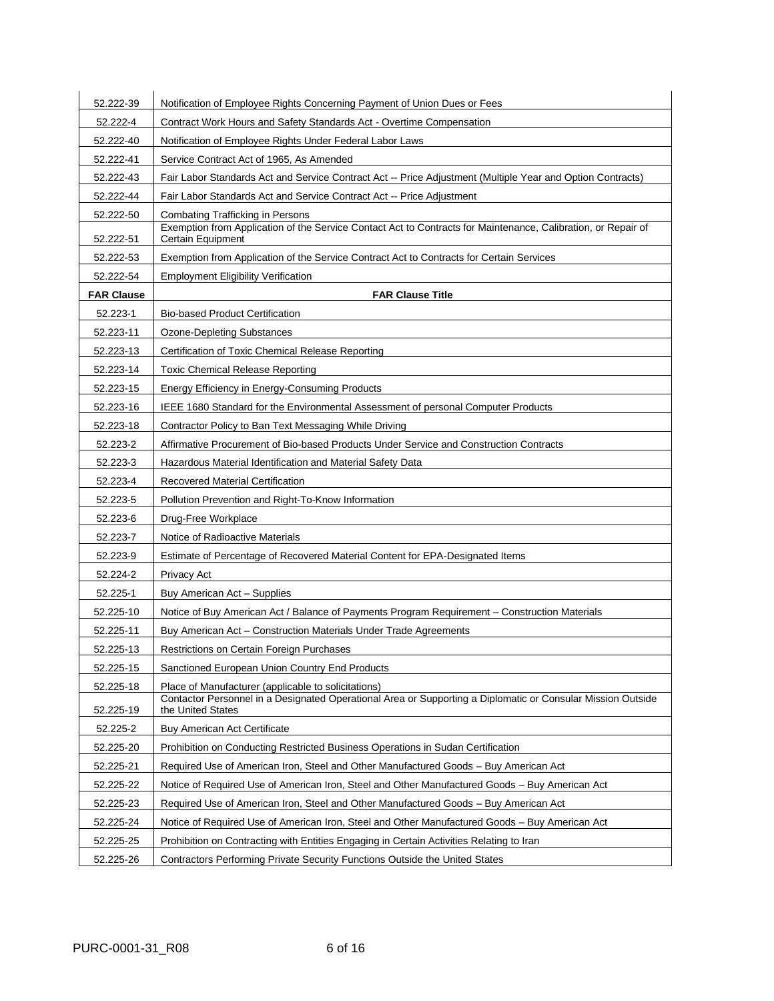| 52.222-39         | Notification of Employee Rights Concerning Payment of Union Dues or Fees                                                                  |
|-------------------|-------------------------------------------------------------------------------------------------------------------------------------------|
| 52.222-4          | Contract Work Hours and Safety Standards Act - Overtime Compensation                                                                      |
| 52.222-40         | Notification of Employee Rights Under Federal Labor Laws                                                                                  |
| 52.222-41         | Service Contract Act of 1965, As Amended                                                                                                  |
| 52.222-43         | Fair Labor Standards Act and Service Contract Act -- Price Adjustment (Multiple Year and Option Contracts)                                |
| 52.222-44         | Fair Labor Standards Act and Service Contract Act -- Price Adjustment                                                                     |
| 52.222-50         | <b>Combating Trafficking in Persons</b>                                                                                                   |
| 52.222-51         | Exemption from Application of the Service Contact Act to Contracts for Maintenance, Calibration, or Repair of<br><b>Certain Equipment</b> |
| 52.222-53         | Exemption from Application of the Service Contract Act to Contracts for Certain Services                                                  |
| 52.222-54         | <b>Employment Eligibility Verification</b>                                                                                                |
| <b>FAR Clause</b> | <b>FAR Clause Title</b>                                                                                                                   |
| 52.223-1          | <b>Bio-based Product Certification</b>                                                                                                    |
| 52.223-11         | <b>Ozone-Depleting Substances</b>                                                                                                         |
| 52.223-13         | Certification of Toxic Chemical Release Reporting                                                                                         |
| 52.223-14         | <b>Toxic Chemical Release Reporting</b>                                                                                                   |
| 52.223-15         | Energy Efficiency in Energy-Consuming Products                                                                                            |
| 52.223-16         | IEEE 1680 Standard for the Environmental Assessment of personal Computer Products                                                         |
| 52.223-18         | Contractor Policy to Ban Text Messaging While Driving                                                                                     |
| 52.223-2          | Affirmative Procurement of Bio-based Products Under Service and Construction Contracts                                                    |
| 52.223-3          | Hazardous Material Identification and Material Safety Data                                                                                |
| 52.223-4          | <b>Recovered Material Certification</b>                                                                                                   |
| 52.223-5          | Pollution Prevention and Right-To-Know Information                                                                                        |
| 52.223-6          | Drug-Free Workplace                                                                                                                       |
| 52.223-7          | Notice of Radioactive Materials                                                                                                           |
| 52.223-9          | Estimate of Percentage of Recovered Material Content for EPA-Designated Items                                                             |
| 52.224-2          | Privacy Act                                                                                                                               |
| 52.225-1          | Buy American Act - Supplies                                                                                                               |
| 52.225-10         | Notice of Buy American Act / Balance of Payments Program Requirement - Construction Materials                                             |
| 52.225-11         | Buy American Act - Construction Materials Under Trade Agreements                                                                          |
| 52.225-13         | Restrictions on Certain Foreign Purchases                                                                                                 |
| 52.225-15         | Sanctioned European Union Country End Products                                                                                            |
| 52.225-18         | Place of Manufacturer (applicable to solicitations)                                                                                       |
| 52.225-19         | Contactor Personnel in a Designated Operational Area or Supporting a Diplomatic or Consular Mission Outside<br>the United States          |
| 52.225-2          | Buy American Act Certificate                                                                                                              |
| 52.225-20         | Prohibition on Conducting Restricted Business Operations in Sudan Certification                                                           |
| 52.225-21         | Required Use of American Iron, Steel and Other Manufactured Goods - Buy American Act                                                      |
| 52.225-22         | Notice of Required Use of American Iron, Steel and Other Manufactured Goods - Buy American Act                                            |
| 52.225-23         | Required Use of American Iron, Steel and Other Manufactured Goods - Buy American Act                                                      |
| 52.225-24         | Notice of Required Use of American Iron, Steel and Other Manufactured Goods – Buy American Act                                            |
| 52.225-25         | Prohibition on Contracting with Entities Engaging in Certain Activities Relating to Iran                                                  |
| 52.225-26         | Contractors Performing Private Security Functions Outside the United States                                                               |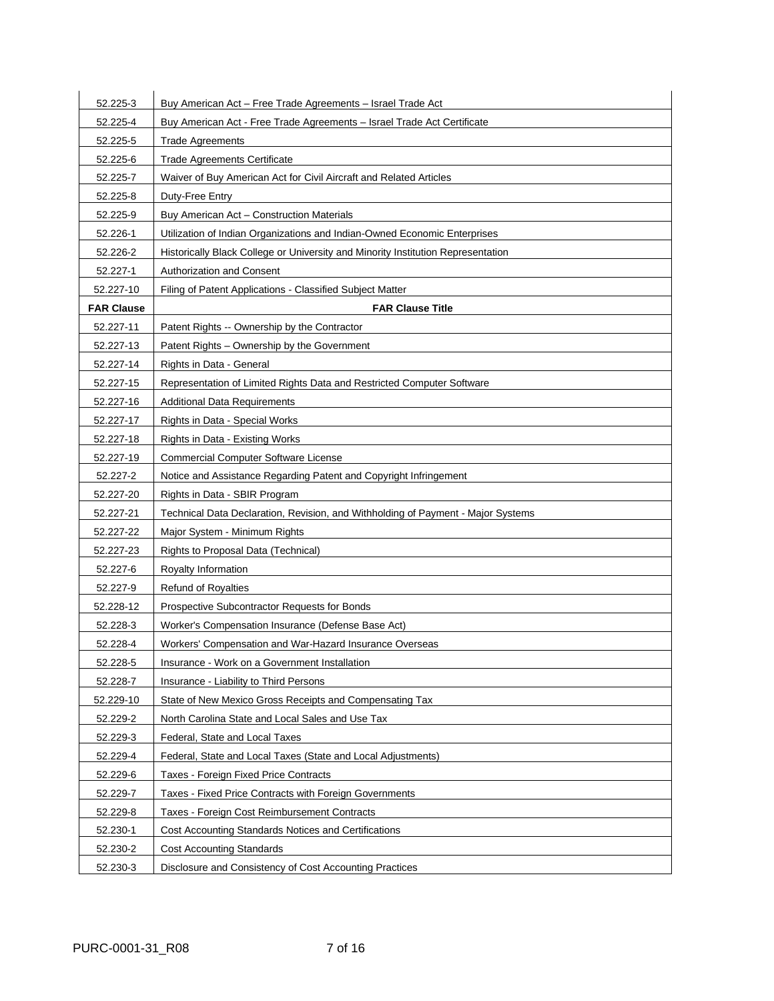| 52.225-3          | Buy American Act - Free Trade Agreements - Israel Trade Act                      |
|-------------------|----------------------------------------------------------------------------------|
| 52.225-4          | Buy American Act - Free Trade Agreements - Israel Trade Act Certificate          |
| 52.225-5          | <b>Trade Agreements</b>                                                          |
| 52.225-6          | <b>Trade Agreements Certificate</b>                                              |
| 52.225-7          | Waiver of Buy American Act for Civil Aircraft and Related Articles               |
| 52.225-8          | Duty-Free Entry                                                                  |
| 52.225-9          | Buy American Act - Construction Materials                                        |
| 52.226-1          | Utilization of Indian Organizations and Indian-Owned Economic Enterprises        |
| 52.226-2          | Historically Black College or University and Minority Institution Representation |
| 52.227-1          | <b>Authorization and Consent</b>                                                 |
| 52.227-10         | Filing of Patent Applications - Classified Subject Matter                        |
| <b>FAR Clause</b> | <b>FAR Clause Title</b>                                                          |
| 52.227-11         | Patent Rights -- Ownership by the Contractor                                     |
| 52.227-13         | Patent Rights - Ownership by the Government                                      |
| 52.227-14         | Rights in Data - General                                                         |
| 52.227-15         | Representation of Limited Rights Data and Restricted Computer Software           |
| 52.227-16         | <b>Additional Data Requirements</b>                                              |
| 52.227-17         | Rights in Data - Special Works                                                   |
| 52.227-18         | Rights in Data - Existing Works                                                  |
| 52.227-19         | <b>Commercial Computer Software License</b>                                      |
| 52.227-2          | Notice and Assistance Regarding Patent and Copyright Infringement                |
| 52.227-20         | Rights in Data - SBIR Program                                                    |
| 52.227-21         | Technical Data Declaration, Revision, and Withholding of Payment - Major Systems |
| 52.227-22         | Major System - Minimum Rights                                                    |
| 52.227-23         | Rights to Proposal Data (Technical)                                              |
| 52.227-6          | Royalty Information                                                              |
| 52.227-9          | <b>Refund of Royalties</b>                                                       |
| 52.228-12         | Prospective Subcontractor Requests for Bonds                                     |
| 52.228-3          | Worker's Compensation Insurance (Defense Base Act)                               |
| 52.228-4          | Workers' Compensation and War-Hazard Insurance Overseas                          |
| 52.228-5          | Insurance - Work on a Government Installation                                    |
| 52.228-7          | Insurance - Liability to Third Persons                                           |
| 52.229-10         | State of New Mexico Gross Receipts and Compensating Tax                          |
| 52.229-2          | North Carolina State and Local Sales and Use Tax                                 |
| 52.229-3          | Federal, State and Local Taxes                                                   |
| 52.229-4          | Federal, State and Local Taxes (State and Local Adjustments)                     |
| 52.229-6          | Taxes - Foreign Fixed Price Contracts                                            |
| 52.229-7          | Taxes - Fixed Price Contracts with Foreign Governments                           |
| 52.229-8          | Taxes - Foreign Cost Reimbursement Contracts                                     |
| 52.230-1          | Cost Accounting Standards Notices and Certifications                             |
| 52.230-2          | <b>Cost Accounting Standards</b>                                                 |
| 52.230-3          | Disclosure and Consistency of Cost Accounting Practices                          |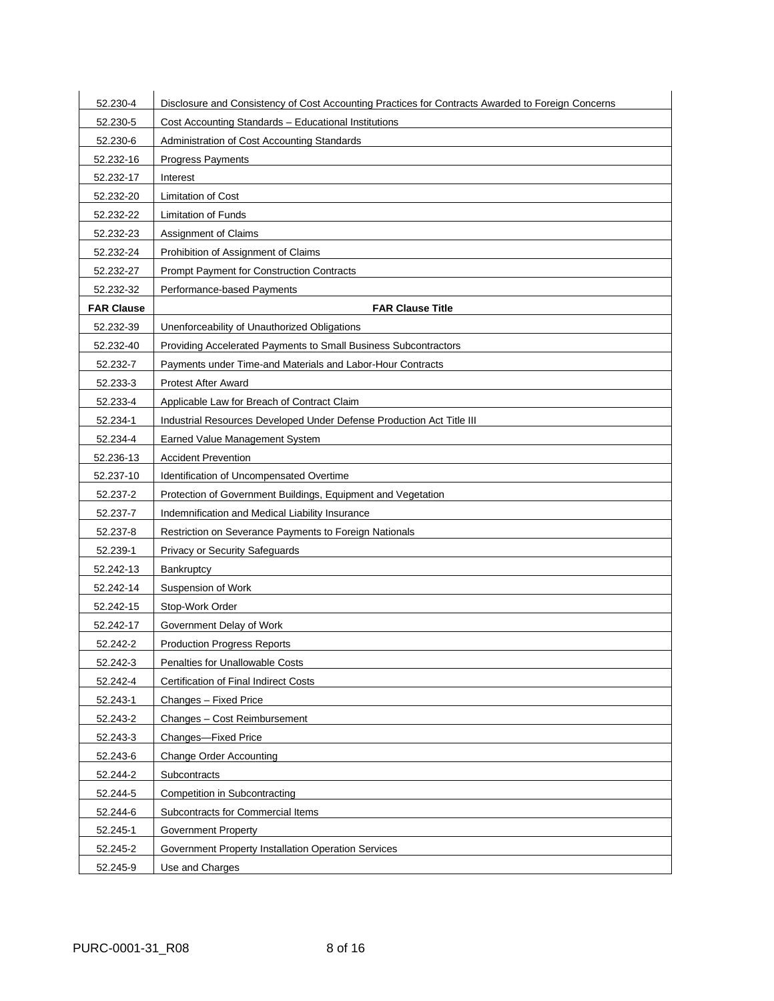| 52.230-4          | Disclosure and Consistency of Cost Accounting Practices for Contracts Awarded to Foreign Concerns |
|-------------------|---------------------------------------------------------------------------------------------------|
| 52.230-5          | Cost Accounting Standards - Educational Institutions                                              |
| 52.230-6          | Administration of Cost Accounting Standards                                                       |
| 52.232-16         | <b>Progress Payments</b>                                                                          |
| 52.232-17         | Interest                                                                                          |
| 52.232-20         | Limitation of Cost                                                                                |
| 52.232-22         | Limitation of Funds                                                                               |
| 52.232-23         | <b>Assignment of Claims</b>                                                                       |
| 52.232-24         | Prohibition of Assignment of Claims                                                               |
| 52.232-27         | Prompt Payment for Construction Contracts                                                         |
| 52.232-32         | Performance-based Payments                                                                        |
| <b>FAR Clause</b> | <b>FAR Clause Title</b>                                                                           |
| 52.232-39         | Unenforceability of Unauthorized Obligations                                                      |
| 52.232-40         | Providing Accelerated Payments to Small Business Subcontractors                                   |
| 52.232-7          | Payments under Time-and Materials and Labor-Hour Contracts                                        |
| 52.233-3          | <b>Protest After Award</b>                                                                        |
| 52.233-4          | Applicable Law for Breach of Contract Claim                                                       |
| 52.234-1          | Industrial Resources Developed Under Defense Production Act Title III                             |
| 52.234-4          | Earned Value Management System                                                                    |
| 52.236-13         | <b>Accident Prevention</b>                                                                        |
| 52.237-10         | Identification of Uncompensated Overtime                                                          |
| 52.237-2          | Protection of Government Buildings, Equipment and Vegetation                                      |
| 52.237-7          | Indemnification and Medical Liability Insurance                                                   |
| 52.237-8          | Restriction on Severance Payments to Foreign Nationals                                            |
| 52.239-1          | Privacy or Security Safeguards                                                                    |
| 52.242-13         | Bankruptcy                                                                                        |
| 52.242-14         | Suspension of Work                                                                                |
| 52.242-15         | Stop-Work Order                                                                                   |
| 52.242-17         | Government Delay of Work                                                                          |
| 52.242-2          | <b>Production Progress Reports</b>                                                                |
| 52.242-3          | Penalties for Unallowable Costs                                                                   |
| 52.242-4          | Certification of Final Indirect Costs                                                             |
| 52.243-1          | Changes - Fixed Price                                                                             |
| 52.243-2          | Changes - Cost Reimbursement                                                                      |
| 52.243-3          | Changes-Fixed Price                                                                               |
| 52.243-6          | <b>Change Order Accounting</b>                                                                    |
| 52.244-2          | Subcontracts                                                                                      |
| 52.244-5          | <b>Competition in Subcontracting</b>                                                              |
| 52.244-6          | Subcontracts for Commercial Items                                                                 |
| 52.245-1          | <b>Government Property</b>                                                                        |
| 52.245-2          | Government Property Installation Operation Services                                               |
| 52.245-9          | Use and Charges                                                                                   |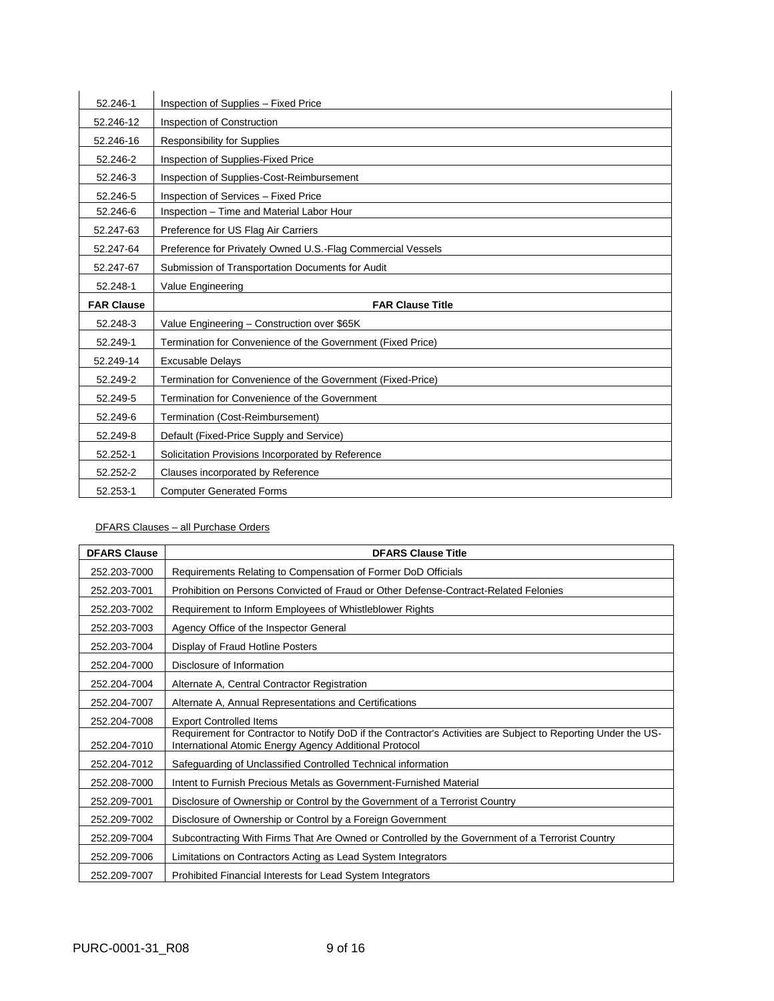| 52.246-1          | Inspection of Supplies - Fixed Price                        |
|-------------------|-------------------------------------------------------------|
| 52.246-12         | Inspection of Construction                                  |
| 52.246-16         | <b>Responsibility for Supplies</b>                          |
| 52.246-2          | Inspection of Supplies-Fixed Price                          |
| 52.246-3          | Inspection of Supplies-Cost-Reimbursement                   |
| 52.246-5          | Inspection of Services - Fixed Price                        |
| 52.246-6          | Inspection - Time and Material Labor Hour                   |
| 52.247-63         | Preference for US Flag Air Carriers                         |
| 52.247-64         | Preference for Privately Owned U.S.-Flag Commercial Vessels |
| 52.247-67         | Submission of Transportation Documents for Audit            |
| 52.248-1          | Value Engineering                                           |
| <b>FAR Clause</b> | <b>FAR Clause Title</b>                                     |
| 52.248-3          | Value Engineering - Construction over \$65K                 |
| 52.249-1          | Termination for Convenience of the Government (Fixed Price) |
| 52.249-14         | <b>Excusable Delays</b>                                     |
| 52.249-2          | Termination for Convenience of the Government (Fixed-Price) |
| 52.249-5          | Termination for Convenience of the Government               |
| 52.249-6          | Termination (Cost-Reimbursement)                            |
| 52.249-8          | Default (Fixed-Price Supply and Service)                    |
| 52.252-1          | Solicitation Provisions Incorporated by Reference           |
| 52.252-2          |                                                             |
|                   | Clauses incorporated by Reference                           |

### DFARS Clauses – all Purchase Orders

| <b>DFARS Clause</b> | <b>DFARS Clause Title</b>                                                                                                                                                |
|---------------------|--------------------------------------------------------------------------------------------------------------------------------------------------------------------------|
| 252.203-7000        | Requirements Relating to Compensation of Former DoD Officials                                                                                                            |
| 252.203-7001        | Prohibition on Persons Convicted of Fraud or Other Defense-Contract-Related Felonies                                                                                     |
| 252.203-7002        | Requirement to Inform Employees of Whistleblower Rights                                                                                                                  |
| 252.203-7003        | Agency Office of the Inspector General                                                                                                                                   |
| 252.203-7004        | Display of Fraud Hotline Posters                                                                                                                                         |
| 252.204-7000        | Disclosure of Information                                                                                                                                                |
| 252.204-7004        | Alternate A, Central Contractor Registration                                                                                                                             |
| 252.204-7007        | Alternate A, Annual Representations and Certifications                                                                                                                   |
| 252.204-7008        | <b>Export Controlled Items</b>                                                                                                                                           |
| 252.204-7010        | Requirement for Contractor to Notify DoD if the Contractor's Activities are Subject to Reporting Under the US-<br>International Atomic Energy Agency Additional Protocol |
| 252.204-7012        | Safeguarding of Unclassified Controlled Technical information                                                                                                            |
| 252.208-7000        | Intent to Furnish Precious Metals as Government-Furnished Material                                                                                                       |
| 252.209-7001        | Disclosure of Ownership or Control by the Government of a Terrorist Country                                                                                              |
| 252.209-7002        | Disclosure of Ownership or Control by a Foreign Government                                                                                                               |
| 252.209-7004        | Subcontracting With Firms That Are Owned or Controlled by the Government of a Terrorist Country                                                                          |
| 252.209-7006        | Limitations on Contractors Acting as Lead System Integrators                                                                                                             |
| 252.209-7007        | Prohibited Financial Interests for Lead System Integrators                                                                                                               |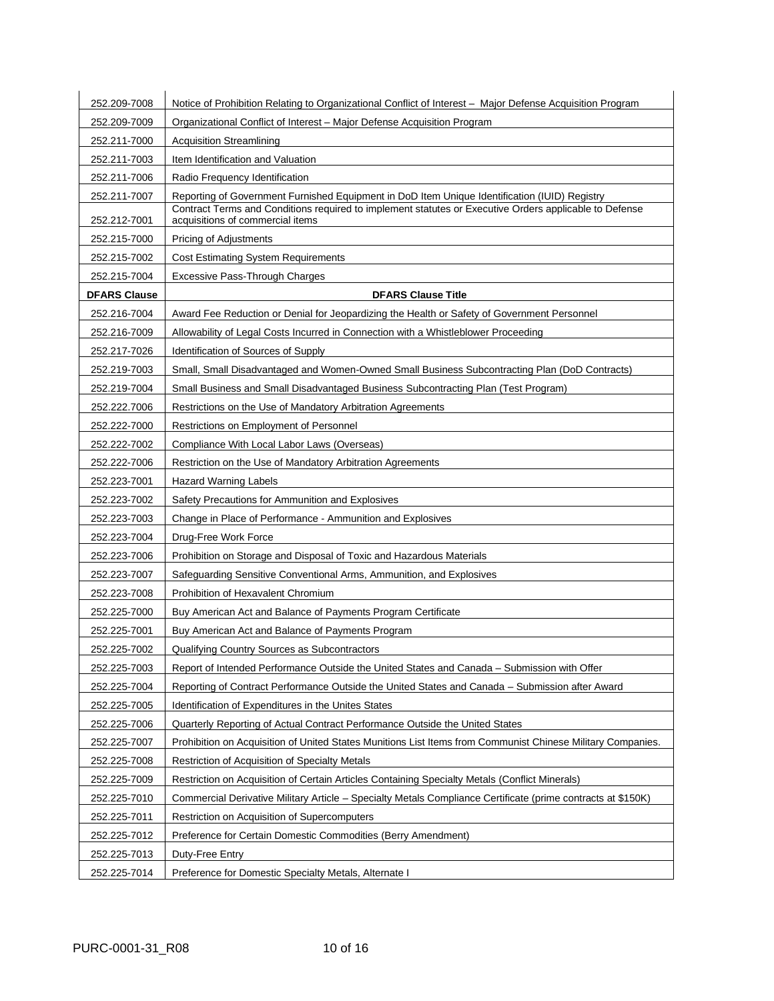| 252.209-7008        | Notice of Prohibition Relating to Organizational Conflict of Interest - Major Defense Acquisition Program                                  |
|---------------------|--------------------------------------------------------------------------------------------------------------------------------------------|
| 252.209-7009        | Organizational Conflict of Interest - Major Defense Acquisition Program                                                                    |
| 252.211-7000        | <b>Acquisition Streamlining</b>                                                                                                            |
| 252.211-7003        | Item Identification and Valuation                                                                                                          |
| 252.211-7006        | Radio Frequency Identification                                                                                                             |
| 252.211-7007        | Reporting of Government Furnished Equipment in DoD Item Unique Identification (IUID) Registry                                              |
| 252.212-7001        | Contract Terms and Conditions required to implement statutes or Executive Orders applicable to Defense<br>acquisitions of commercial items |
| 252.215-7000        | <b>Pricing of Adjustments</b>                                                                                                              |
| 252.215-7002        | <b>Cost Estimating System Requirements</b>                                                                                                 |
| 252.215-7004        | <b>Excessive Pass-Through Charges</b>                                                                                                      |
| <b>DFARS Clause</b> | <b>DFARS Clause Title</b>                                                                                                                  |
| 252.216-7004        | Award Fee Reduction or Denial for Jeopardizing the Health or Safety of Government Personnel                                                |
| 252.216-7009        | Allowability of Legal Costs Incurred in Connection with a Whistleblower Proceeding                                                         |
| 252.217-7026        | Identification of Sources of Supply                                                                                                        |
| 252.219-7003        | Small, Small Disadvantaged and Women-Owned Small Business Subcontracting Plan (DoD Contracts)                                              |
| 252.219-7004        | Small Business and Small Disadvantaged Business Subcontracting Plan (Test Program)                                                         |
| 252.222.7006        | Restrictions on the Use of Mandatory Arbitration Agreements                                                                                |
| 252.222-7000        | Restrictions on Employment of Personnel                                                                                                    |
| 252.222-7002        | Compliance With Local Labor Laws (Overseas)                                                                                                |
| 252.222-7006        | Restriction on the Use of Mandatory Arbitration Agreements                                                                                 |
| 252.223-7001        | <b>Hazard Warning Labels</b>                                                                                                               |
| 252.223-7002        | Safety Precautions for Ammunition and Explosives                                                                                           |
| 252.223-7003        | Change in Place of Performance - Ammunition and Explosives                                                                                 |
| 252.223-7004        | Drug-Free Work Force                                                                                                                       |
| 252.223-7006        | Prohibition on Storage and Disposal of Toxic and Hazardous Materials                                                                       |
| 252.223-7007        | Safeguarding Sensitive Conventional Arms, Ammunition, and Explosives                                                                       |
| 252.223-7008        | Prohibition of Hexavalent Chromium                                                                                                         |
| 252.225-7000        | Buy American Act and Balance of Payments Program Certificate                                                                               |
| 252.225-7001        | Buy American Act and Balance of Payments Program                                                                                           |
| 252.225-7002        | Qualifying Country Sources as Subcontractors                                                                                               |
| 252.225-7003        | Report of Intended Performance Outside the United States and Canada – Submission with Offer                                                |
| 252.225-7004        | Reporting of Contract Performance Outside the United States and Canada - Submission after Award                                            |
| 252.225-7005        | Identification of Expenditures in the Unites States                                                                                        |
| 252.225-7006        | Quarterly Reporting of Actual Contract Performance Outside the United States                                                               |
| 252.225-7007        | Prohibition on Acquisition of United States Munitions List Items from Communist Chinese Military Companies.                                |
| 252.225-7008        | Restriction of Acquisition of Specialty Metals                                                                                             |
| 252.225-7009        | Restriction on Acquisition of Certain Articles Containing Specialty Metals (Conflict Minerals)                                             |
| 252.225-7010        | Commercial Derivative Military Article - Specialty Metals Compliance Certificate (prime contracts at \$150K)                               |
| 252.225-7011        | Restriction on Acquisition of Supercomputers                                                                                               |
| 252.225-7012        | Preference for Certain Domestic Commodities (Berry Amendment)                                                                              |
| 252.225-7013        | Duty-Free Entry                                                                                                                            |
| 252.225-7014        | Preference for Domestic Specialty Metals, Alternate I                                                                                      |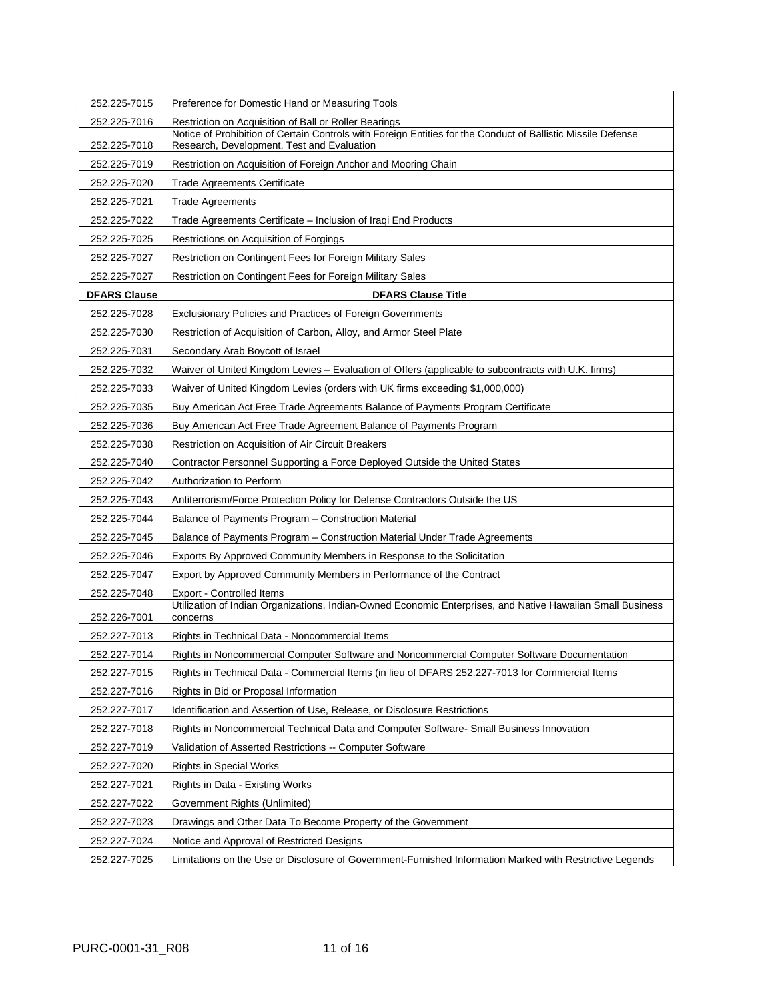| 252.225-7015        | Preference for Domestic Hand or Measuring Tools                                                                                                                                                                     |
|---------------------|---------------------------------------------------------------------------------------------------------------------------------------------------------------------------------------------------------------------|
| 252.225-7016        | Restriction on Acquisition of Ball or Roller Bearings<br>Notice of Prohibition of Certain Controls with Foreign Entities for the Conduct of Ballistic Missile Defense<br>Research, Development, Test and Evaluation |
| 252.225-7018        |                                                                                                                                                                                                                     |
| 252.225-7019        | Restriction on Acquisition of Foreign Anchor and Mooring Chain                                                                                                                                                      |
| 252.225-7020        | <b>Trade Agreements Certificate</b>                                                                                                                                                                                 |
| 252.225-7021        | <b>Trade Agreements</b>                                                                                                                                                                                             |
| 252.225-7022        | Trade Agreements Certificate – Inclusion of Iraqi End Products                                                                                                                                                      |
| 252.225-7025        | Restrictions on Acquisition of Forgings                                                                                                                                                                             |
| 252.225-7027        | Restriction on Contingent Fees for Foreign Military Sales                                                                                                                                                           |
| 252.225-7027        | Restriction on Contingent Fees for Foreign Military Sales                                                                                                                                                           |
| <b>DFARS Clause</b> | <b>DFARS Clause Title</b>                                                                                                                                                                                           |
| 252.225-7028        | <b>Exclusionary Policies and Practices of Foreign Governments</b>                                                                                                                                                   |
| 252.225-7030        | Restriction of Acquisition of Carbon, Alloy, and Armor Steel Plate                                                                                                                                                  |
| 252.225-7031        | Secondary Arab Boycott of Israel                                                                                                                                                                                    |
| 252.225-7032        | Waiver of United Kingdom Levies – Evaluation of Offers (applicable to subcontracts with U.K. firms)                                                                                                                 |
| 252.225-7033        | Waiver of United Kingdom Levies (orders with UK firms exceeding \$1,000,000)                                                                                                                                        |
| 252.225-7035        | Buy American Act Free Trade Agreements Balance of Payments Program Certificate                                                                                                                                      |
| 252.225-7036        | Buy American Act Free Trade Agreement Balance of Payments Program                                                                                                                                                   |
| 252.225-7038        | <b>Restriction on Acquisition of Air Circuit Breakers</b>                                                                                                                                                           |
| 252.225-7040        | Contractor Personnel Supporting a Force Deployed Outside the United States                                                                                                                                          |
| 252.225-7042        | Authorization to Perform                                                                                                                                                                                            |
| 252.225-7043        | Antiterrorism/Force Protection Policy for Defense Contractors Outside the US                                                                                                                                        |
| 252.225-7044        | Balance of Payments Program - Construction Material                                                                                                                                                                 |
| 252.225-7045        | Balance of Payments Program - Construction Material Under Trade Agreements                                                                                                                                          |
| 252.225-7046        | Exports By Approved Community Members in Response to the Solicitation                                                                                                                                               |
| 252.225-7047        | Export by Approved Community Members in Performance of the Contract                                                                                                                                                 |
| 252.225-7048        | Export - Controlled Items                                                                                                                                                                                           |
| 252.226-7001        | Utilization of Indian Organizations, Indian-Owned Economic Enterprises, and Native Hawaiian Small Business<br>concerns                                                                                              |
| 252.227-7013        | Rights in Technical Data - Noncommercial Items                                                                                                                                                                      |
| 252.227-7014        | Rights in Noncommercial Computer Software and Noncommercial Computer Software Documentation                                                                                                                         |
| 252.227-7015        | Rights in Technical Data - Commercial Items (in lieu of DFARS 252.227-7013 for Commercial Items                                                                                                                     |
| 252.227-7016        | Rights in Bid or Proposal Information                                                                                                                                                                               |
| 252.227-7017        | Identification and Assertion of Use, Release, or Disclosure Restrictions                                                                                                                                            |
| 252.227-7018        | Rights in Noncommercial Technical Data and Computer Software- Small Business Innovation                                                                                                                             |
| 252.227-7019        | Validation of Asserted Restrictions -- Computer Software                                                                                                                                                            |
| 252.227-7020        | Rights in Special Works                                                                                                                                                                                             |
| 252.227-7021        | Rights in Data - Existing Works                                                                                                                                                                                     |
| 252.227-7022        | Government Rights (Unlimited)                                                                                                                                                                                       |
| 252.227-7023        | Drawings and Other Data To Become Property of the Government                                                                                                                                                        |
| 252.227-7024        | Notice and Approval of Restricted Designs                                                                                                                                                                           |
| 252.227-7025        | Limitations on the Use or Disclosure of Government-Furnished Information Marked with Restrictive Legends                                                                                                            |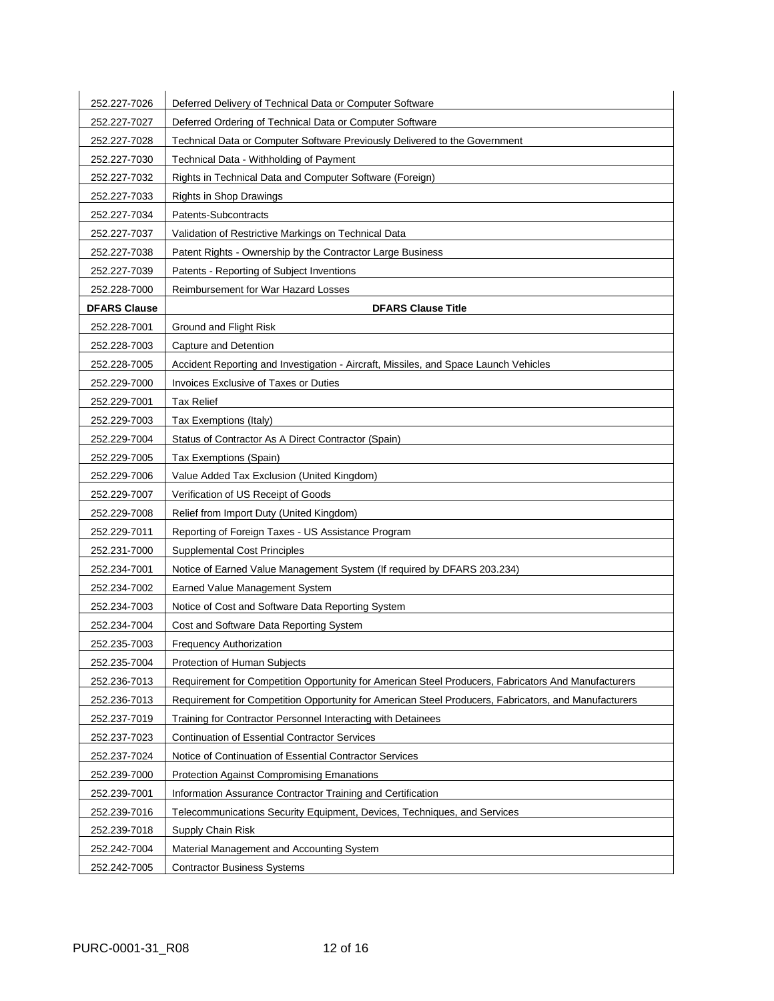| 252.227-7026        | Deferred Delivery of Technical Data or Computer Software                                             |
|---------------------|------------------------------------------------------------------------------------------------------|
| 252.227-7027        | Deferred Ordering of Technical Data or Computer Software                                             |
| 252.227-7028        | Technical Data or Computer Software Previously Delivered to the Government                           |
| 252.227-7030        | Technical Data - Withholding of Payment                                                              |
| 252.227-7032        | Rights in Technical Data and Computer Software (Foreign)                                             |
| 252.227-7033        | <b>Rights in Shop Drawings</b>                                                                       |
| 252.227-7034        | Patents-Subcontracts                                                                                 |
| 252.227-7037        | Validation of Restrictive Markings on Technical Data                                                 |
| 252.227-7038        | Patent Rights - Ownership by the Contractor Large Business                                           |
| 252.227-7039        | Patents - Reporting of Subject Inventions                                                            |
| 252.228-7000        | <b>Reimbursement for War Hazard Losses</b>                                                           |
| <b>DFARS Clause</b> | <b>DFARS Clause Title</b>                                                                            |
| 252.228-7001        | Ground and Flight Risk                                                                               |
| 252.228-7003        | Capture and Detention                                                                                |
| 252.228-7005        | Accident Reporting and Investigation - Aircraft, Missiles, and Space Launch Vehicles                 |
| 252.229-7000        | <b>Invoices Exclusive of Taxes or Duties</b>                                                         |
| 252.229-7001        | <b>Tax Relief</b>                                                                                    |
| 252.229-7003        | Tax Exemptions (Italy)                                                                               |
| 252.229-7004        | Status of Contractor As A Direct Contractor (Spain)                                                  |
| 252.229-7005        | Tax Exemptions (Spain)                                                                               |
| 252.229-7006        | Value Added Tax Exclusion (United Kingdom)                                                           |
| 252.229-7007        | Verification of US Receipt of Goods                                                                  |
| 252.229-7008        | Relief from Import Duty (United Kingdom)                                                             |
| 252.229-7011        | Reporting of Foreign Taxes - US Assistance Program                                                   |
| 252.231-7000        | <b>Supplemental Cost Principles</b>                                                                  |
| 252.234-7001        | Notice of Earned Value Management System (If required by DFARS 203.234)                              |
| 252.234-7002        | Earned Value Management System                                                                       |
| 252.234-7003        | Notice of Cost and Software Data Reporting System                                                    |
| 252.234-7004        | Cost and Software Data Reporting System                                                              |
| 252.235-7003        | <b>Frequency Authorization</b>                                                                       |
| 252.235-7004        | Protection of Human Subjects                                                                         |
| 252.236-7013        | Requirement for Competition Opportunity for American Steel Producers, Fabricators And Manufacturers  |
| 252.236-7013        | Requirement for Competition Opportunity for American Steel Producers, Fabricators, and Manufacturers |
| 252.237-7019        | Training for Contractor Personnel Interacting with Detainees                                         |
| 252.237-7023        | <b>Continuation of Essential Contractor Services</b>                                                 |
| 252.237-7024        | Notice of Continuation of Essential Contractor Services                                              |
| 252.239-7000        | <b>Protection Against Compromising Emanations</b>                                                    |
| 252.239-7001        | Information Assurance Contractor Training and Certification                                          |
| 252.239-7016        | Telecommunications Security Equipment, Devices, Techniques, and Services                             |
| 252.239-7018        | Supply Chain Risk                                                                                    |
| 252.242-7004        | Material Management and Accounting System                                                            |
| 252.242-7005        | <b>Contractor Business Systems</b>                                                                   |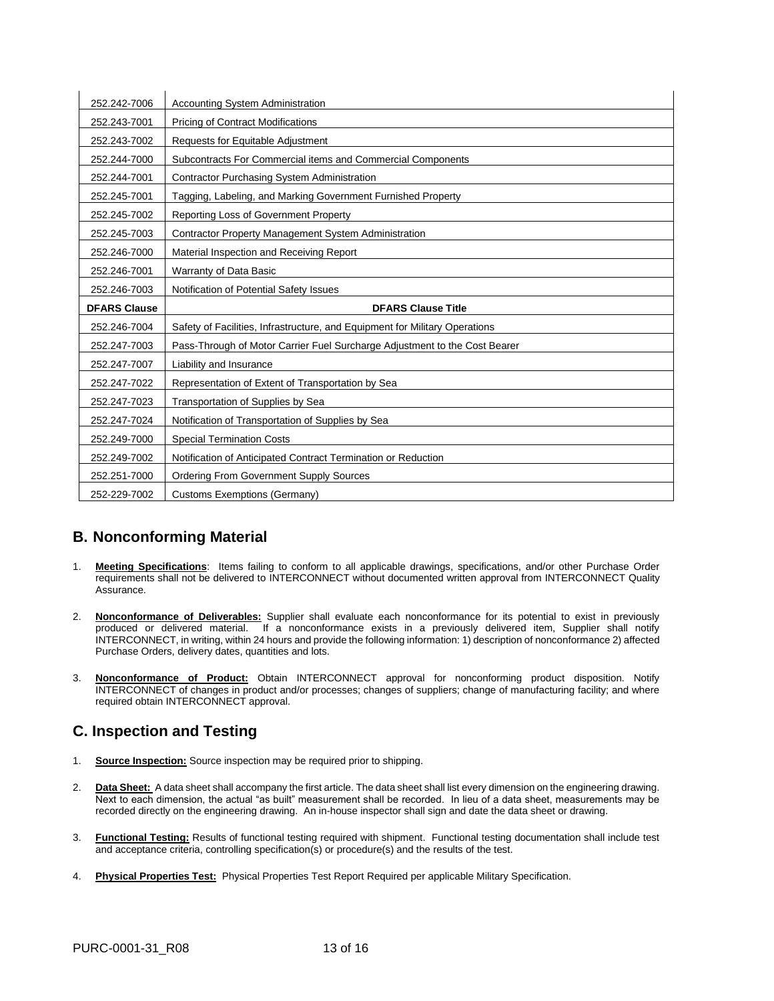| 252.242-7006        | <b>Accounting System Administration</b>                                     |
|---------------------|-----------------------------------------------------------------------------|
| 252.243-7001        | <b>Pricing of Contract Modifications</b>                                    |
| 252.243-7002        | Requests for Equitable Adjustment                                           |
| 252.244-7000        | Subcontracts For Commercial items and Commercial Components                 |
| 252.244-7001        | <b>Contractor Purchasing System Administration</b>                          |
| 252.245-7001        | Tagging, Labeling, and Marking Government Furnished Property                |
| 252.245-7002        | Reporting Loss of Government Property                                       |
| 252.245-7003        | <b>Contractor Property Management System Administration</b>                 |
| 252.246-7000        | Material Inspection and Receiving Report                                    |
| 252.246-7001        | Warranty of Data Basic                                                      |
| 252.246-7003        | Notification of Potential Safety Issues                                     |
|                     |                                                                             |
| <b>DFARS Clause</b> | <b>DFARS Clause Title</b>                                                   |
| 252.246-7004        | Safety of Facilities, Infrastructure, and Equipment for Military Operations |
| 252.247-7003        | Pass-Through of Motor Carrier Fuel Surcharge Adjustment to the Cost Bearer  |
| 252.247-7007        | Liability and Insurance                                                     |
| 252.247-7022        | Representation of Extent of Transportation by Sea                           |
| 252.247-7023        | Transportation of Supplies by Sea                                           |
| 252.247-7024        | Notification of Transportation of Supplies by Sea                           |
| 252.249-7000        | <b>Special Termination Costs</b>                                            |
| 252.249-7002        | Notification of Anticipated Contract Termination or Reduction               |
| 252.251-7000        | <b>Ordering From Government Supply Sources</b>                              |

# **B. Nonconforming Material**

- 1. **Meeting Specifications**: Items failing to conform to all applicable drawings, specifications, and/or other Purchase Order requirements shall not be delivered to INTERCONNECT without documented written approval from INTERCONNECT Quality Assurance.
- 2. **Nonconformance of Deliverables:** Supplier shall evaluate each nonconformance for its potential to exist in previously produced or delivered material. If a nonconformance exists in a previously delivered item, Supplier shall notify INTERCONNECT, in writing, within 24 hours and provide the following information: 1) description of nonconformance 2) affected Purchase Orders, delivery dates, quantities and lots.
- 3. **Nonconformance of Product:** Obtain INTERCONNECT approval for nonconforming product disposition. Notify INTERCONNECT of changes in product and/or processes; changes of suppliers; change of manufacturing facility; and where required obtain INTERCONNECT approval.

# **C. Inspection and Testing**

- 1. **Source Inspection:** Source inspection may be required prior to shipping.
- 2. **Data Sheet:** A data sheet shall accompany the first article. The data sheet shall list every dimension on the engineering drawing. Next to each dimension, the actual "as built" measurement shall be recorded. In lieu of a data sheet, measurements may be recorded directly on the engineering drawing. An in-house inspector shall sign and date the data sheet or drawing.
- 3. **Functional Testing:** Results of functional testing required with shipment. Functional testing documentation shall include test and acceptance criteria, controlling specification(s) or procedure(s) and the results of the test.
- 4. **Physical Properties Test:** Physical Properties Test Report Required per applicable Military Specification.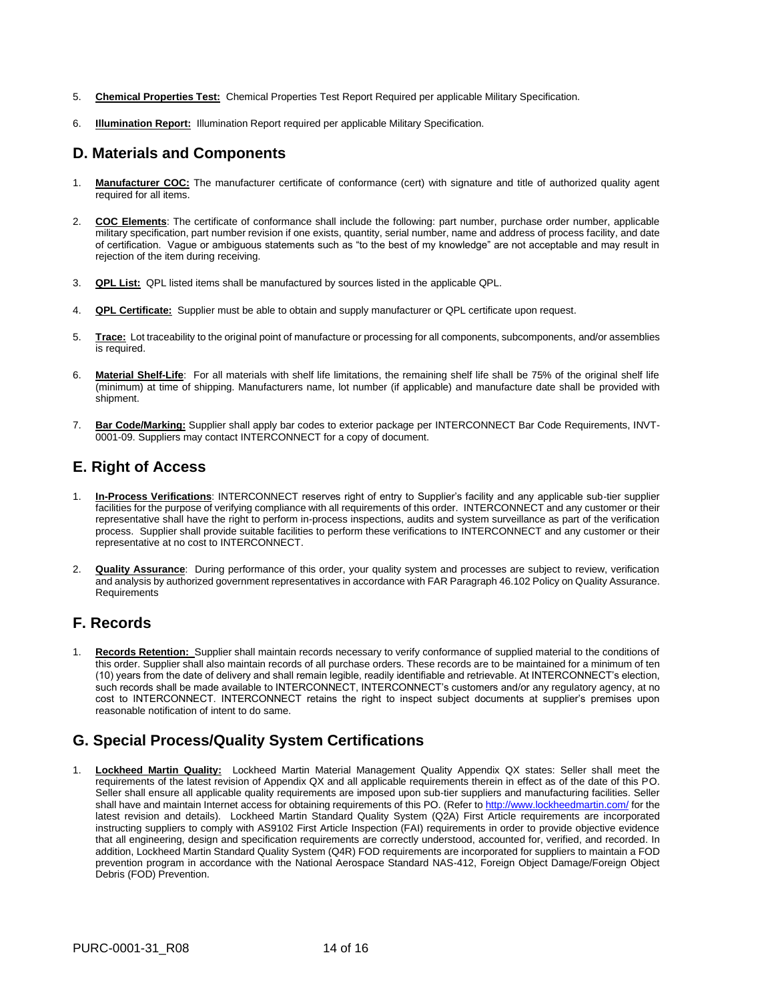- 5. **Chemical Properties Test:** Chemical Properties Test Report Required per applicable Military Specification.
- 6. **Illumination Report:** Illumination Report required per applicable Military Specification.

## **D. Materials and Components**

- 1. **Manufacturer COC:** The manufacturer certificate of conformance (cert) with signature and title of authorized quality agent required for all items.
- 2. **COC Elements**: The certificate of conformance shall include the following: part number, purchase order number, applicable military specification, part number revision if one exists, quantity, serial number, name and address of process facility, and date of certification. Vague or ambiguous statements such as "to the best of my knowledge" are not acceptable and may result in rejection of the item during receiving.
- 3. **QPL List:** QPL listed items shall be manufactured by sources listed in the applicable QPL.
- 4. **QPL Certificate:** Supplier must be able to obtain and supply manufacturer or QPL certificate upon request.
- 5. **Trace:** Lot traceability to the original point of manufacture or processing for all components, subcomponents, and/or assemblies is required.
- 6. **Material Shelf-Life**: For all materials with shelf life limitations, the remaining shelf life shall be 75% of the original shelf life (minimum) at time of shipping. Manufacturers name, lot number (if applicable) and manufacture date shall be provided with shipment.
- 7. **Bar Code/Marking:** Supplier shall apply bar codes to exterior package per INTERCONNECT Bar Code Requirements, INVT-0001-09. Suppliers may contact INTERCONNECT for a copy of document.

### **E. Right of Access**

- 1. **In-Process Verifications**: INTERCONNECT reserves right of entry to Supplier's facility and any applicable sub-tier supplier facilities for the purpose of verifying compliance with all requirements of this order. INTERCONNECT and any customer or their representative shall have the right to perform in-process inspections, audits and system surveillance as part of the verification process. Supplier shall provide suitable facilities to perform these verifications to INTERCONNECT and any customer or their representative at no cost to INTERCONNECT.
- 2. **Quality Assurance**: During performance of this order, your quality system and processes are subject to review, verification and analysis by authorized government representatives in accordance with FAR Paragraph 46.102 Policy on Quality Assurance. Requirements

# **F. Records**

1. **Records Retention:** Supplier shall maintain records necessary to verify conformance of supplied material to the conditions of this order. Supplier shall also maintain records of all purchase orders. These records are to be maintained for a minimum of ten (10) years from the date of delivery and shall remain legible, readily identifiable and retrievable. At INTERCONNECT's election, such records shall be made available to INTERCONNECT, INTERCONNECT's customers and/or any regulatory agency, at no cost to INTERCONNECT. INTERCONNECT retains the right to inspect subject documents at supplier's premises upon reasonable notification of intent to do same.

# **G. Special Process/Quality System Certifications**

1. **Lockheed Martin Quality:** Lockheed Martin Material Management Quality Appendix QX states: Seller shall meet the requirements of the latest revision of Appendix QX and all applicable requirements therein in effect as of the date of this PO. Seller shall ensure all applicable quality requirements are imposed upon sub-tier suppliers and manufacturing facilities. Seller shall have and maintain Internet access for obtaining requirements of this PO. (Refer to http://www.lockheedmartin.com/ for the latest revision and details). Lockheed Martin Standard Quality System (Q2A) First Article requirements are incorporated instructing suppliers to comply with AS9102 First Article Inspection (FAI) requirements in order to provide objective evidence that all engineering, design and specification requirements are correctly understood, accounted for, verified, and recorded. In addition, Lockheed Martin Standard Quality System (Q4R) FOD requirements are incorporated for suppliers to maintain a FOD prevention program in accordance with the National Aerospace Standard NAS-412, Foreign Object Damage/Foreign Object Debris (FOD) Prevention.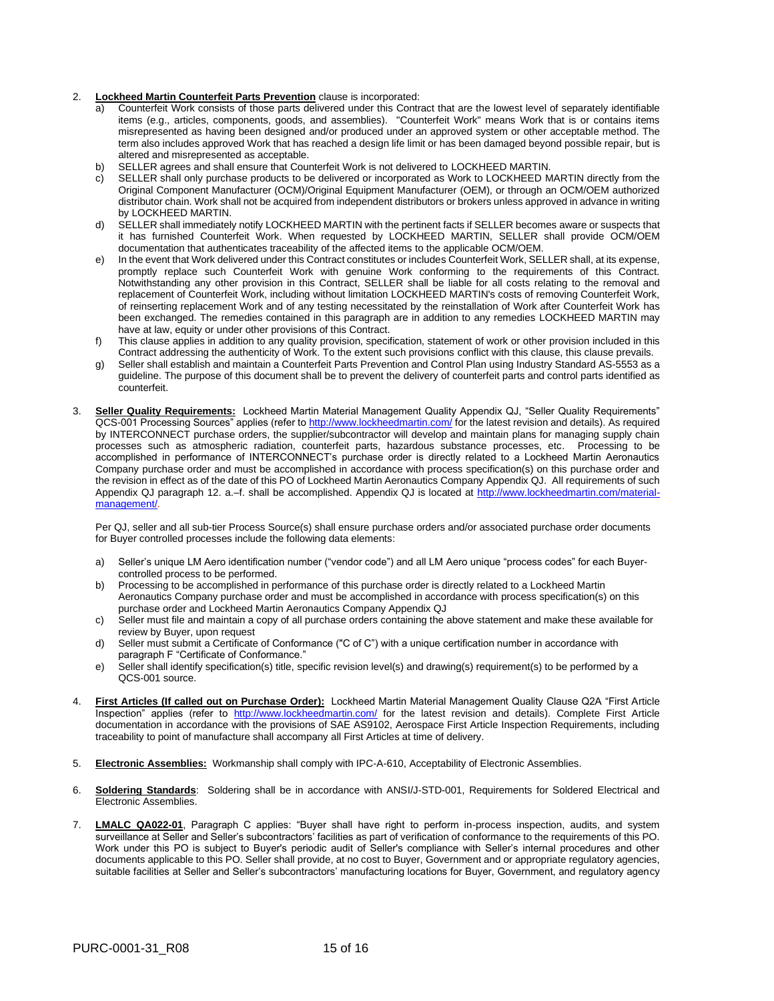#### 2. **Lockheed Martin Counterfeit Parts Prevention** clause is incorporated:

- a) Counterfeit Work consists of those parts delivered under this Contract that are the lowest level of separately identifiable items (e.g., articles, components, goods, and assemblies). "Counterfeit Work" means Work that is or contains items misrepresented as having been designed and/or produced under an approved system or other acceptable method. The term also includes approved Work that has reached a design life limit or has been damaged beyond possible repair, but is altered and misrepresented as acceptable.
- 
- b) SELLER agrees and shall ensure that Counterfeit Work is not delivered to LOCKHEED MARTIN.<br>c) SELLER shall only purchase products to be delivered or incorporated as Work to LOCKHEED M SELLER shall only purchase products to be delivered or incorporated as Work to LOCKHEED MARTIN directly from the Original Component Manufacturer (OCM)/Original Equipment Manufacturer (OEM), or through an OCM/OEM authorized distributor chain. Work shall not be acquired from independent distributors or brokers unless approved in advance in writing by LOCKHEED MARTIN.
- d) SELLER shall immediately notify LOCKHEED MARTIN with the pertinent facts if SELLER becomes aware or suspects that it has furnished Counterfeit Work. When requested by LOCKHEED MARTIN, SELLER shall provide OCM/OEM documentation that authenticates traceability of the affected items to the applicable OCM/OEM.
- e) In the event that Work delivered under this Contract constitutes or includes Counterfeit Work, SELLER shall, at its expense, promptly replace such Counterfeit Work with genuine Work conforming to the requirements of this Contract. Notwithstanding any other provision in this Contract, SELLER shall be liable for all costs relating to the removal and replacement of Counterfeit Work, including without limitation LOCKHEED MARTIN's costs of removing Counterfeit Work, of reinserting replacement Work and of any testing necessitated by the reinstallation of Work after Counterfeit Work has been exchanged. The remedies contained in this paragraph are in addition to any remedies LOCKHEED MARTIN may have at law, equity or under other provisions of this Contract.
- f) This clause applies in addition to any quality provision, specification, statement of work or other provision included in this Contract addressing the authenticity of Work. To the extent such provisions conflict with this clause, this clause prevails.
- g) Seller shall establish and maintain a Counterfeit Parts Prevention and Control Plan using Industry Standard AS-5553 as a guideline. The purpose of this document shall be to prevent the delivery of counterfeit parts and control parts identified as counterfeit.
- 3. **Seller Quality Requirements:** Lockheed Martin Material Management Quality Appendix QJ, "Seller Quality Requirements" QCS-001 Processing Sources" applies (refer to http://www.lockheedmartin.com/ for the latest revision and details). As required by INTERCONNECT purchase orders, the supplier/subcontractor will develop and maintain plans for managing supply chain processes such as atmospheric radiation, counterfeit parts, hazardous substance processes, etc. Processing to be accomplished in performance of INTERCONNECT's purchase order is directly related to a Lockheed Martin Aeronautics Company purchase order and must be accomplished in accordance with process specification(s) on this purchase order and the revision in effect as of the date of this PO of Lockheed Martin Aeronautics Company Appendix QJ. All requirements of such Appendix QJ paragraph 12. a.–f. shall be accomplished. Appendix QJ is located at [http://www.lockheedmartin.com/material](http://www.lockheedmartin.com/material-management/)[management/.](http://www.lockheedmartin.com/material-management/)

Per QJ, seller and all sub-tier Process Source(s) shall ensure purchase orders and/or associated purchase order documents for Buyer controlled processes include the following data elements:

- a) Seller's unique LM Aero identification number ("vendor code") and all LM Aero unique "process codes" for each Buyercontrolled process to be performed.
- b) Processing to be accomplished in performance of this purchase order is directly related to a Lockheed Martin Aeronautics Company purchase order and must be accomplished in accordance with process specification(s) on this purchase order and Lockheed Martin Aeronautics Company Appendix QJ
- c) Seller must file and maintain a copy of all purchase orders containing the above statement and make these available for review by Buyer, upon request
- d) Seller must submit a Certificate of Conformance ("C of C") with a unique certification number in accordance with paragraph F "Certificate of Conformance."
- e) Seller shall identify specification(s) title, specific revision level(s) and drawing(s) requirement(s) to be performed by a QCS-001 source.
- 4. **First Articles (If called out on Purchase Order):** Lockheed Martin Material Management Quality Clause Q2A "First Article Inspection" applies (refer to http://www.lockheedmartin.com/ for the latest revision and details). Complete First Article documentation in accordance with the provisions of SAE AS9102, Aerospace First Article Inspection Requirements, including traceability to point of manufacture shall accompany all First Articles at time of delivery.
- 5. **Electronic Assemblies:** Workmanship shall comply with IPC-A-610, Acceptability of Electronic Assemblies.
- 6. **Soldering Standards**: Soldering shall be in accordance with ANSI/J-STD-001, Requirements for Soldered Electrical and Electronic Assemblies.
- 7. **LMALC QA022-01**, Paragraph C applies: "Buyer shall have right to perform in-process inspection, audits, and system surveillance at Seller and Seller's subcontractors' facilities as part of verification of conformance to the requirements of this PO. Work under this PO is subject to Buyer's periodic audit of Seller's compliance with Seller's internal procedures and other documents applicable to this PO. Seller shall provide, at no cost to Buyer, Government and or appropriate regulatory agencies, suitable facilities at Seller and Seller's subcontractors' manufacturing locations for Buyer, Government, and regulatory agency